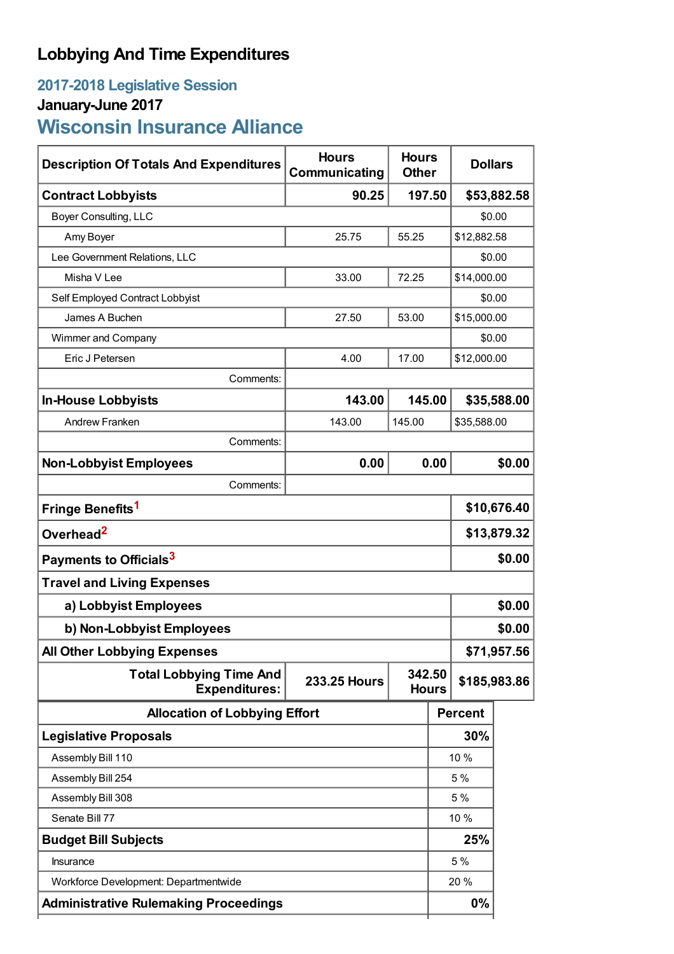# **Lobbying And Time Expenditures**

## **2017-2018 Legislative Session January-June 2017**

# **Wisconsin Insurance Alliance**

| <b>Description Of Totals And Expenditures</b>          | <b>Hours</b><br>Communicating                 | <b>Hours</b><br><b>Other</b> | <b>Dollars</b> |                |        |
|--------------------------------------------------------|-----------------------------------------------|------------------------------|----------------|----------------|--------|
| <b>Contract Lobbyists</b>                              | 90.25                                         | 197.50                       |                | \$53,882.58    |        |
| Boyer Consulting, LLC                                  |                                               |                              | \$0.00         |                |        |
| Amy Boyer                                              | 25.75                                         | 55.25                        |                | \$12,882.58    |        |
| Lee Government Relations, LLC                          |                                               |                              |                | \$0.00         |        |
| Misha V Lee                                            | 33.00<br>72.25                                |                              | \$14,000.00    |                |        |
| Self Employed Contract Lobbyist                        |                                               |                              |                | \$0.00         |        |
| James A Buchen                                         | 53.00<br>27.50                                |                              | \$15,000.00    |                |        |
| Wimmer and Company                                     |                                               |                              |                | \$0.00         |        |
| Eric J Petersen                                        | 4.00                                          | 17.00                        |                | \$12,000.00    |        |
| Comments:                                              |                                               |                              |                |                |        |
| <b>In-House Lobbyists</b>                              | 143.00                                        | 145.00                       |                | \$35,588.00    |        |
| Andrew Franken                                         | 143.00                                        | 145.00                       | \$35,588.00    |                |        |
| Comments:                                              |                                               |                              |                |                |        |
| <b>Non-Lobbyist Employees</b>                          | 0.00                                          |                              | 0.00           |                | \$0.00 |
| Comments:                                              |                                               |                              |                |                |        |
| Fringe Benefits <sup>1</sup>                           |                                               |                              |                | \$10,676.40    |        |
| Overhead <sup>2</sup>                                  |                                               |                              |                | \$13,879.32    |        |
| Payments to Officials <sup>3</sup>                     |                                               |                              |                | \$0.00         |        |
| <b>Travel and Living Expenses</b>                      |                                               |                              |                |                |        |
| a) Lobbyist Employees                                  |                                               |                              |                | \$0.00         |        |
| b) Non-Lobbyist Employees                              |                                               |                              |                | \$0.00         |        |
| <b>All Other Lobbying Expenses</b>                     |                                               |                              |                | \$71,957.56    |        |
| <b>Total Lobbying Time And</b><br><b>Expenditures:</b> | 342.50<br><b>233.25 Hours</b><br><b>Hours</b> |                              |                | \$185,983.86   |        |
| <b>Allocation of Lobbying Effort</b>                   |                                               |                              |                | <b>Percent</b> |        |
| <b>Legislative Proposals</b>                           |                                               |                              |                | 30%            |        |
| Assembly Bill 110                                      |                                               |                              |                | 10 %           |        |
| Assembly Bill 254                                      |                                               |                              |                | 5 %            |        |
| Assembly Bill 308                                      |                                               |                              |                | 5 %            |        |
| Senate Bill 77                                         |                                               |                              |                | 10 %           |        |
| <b>Budget Bill Subjects</b>                            |                                               |                              |                | 25%            |        |
| <b>Insurance</b>                                       |                                               |                              |                | 5 %            |        |
| Workforce Development: Departmentwide                  |                                               |                              |                | 20 %           |        |
| <b>Administrative Rulemaking Proceedings</b>           |                                               |                              |                | $0\%$          |        |